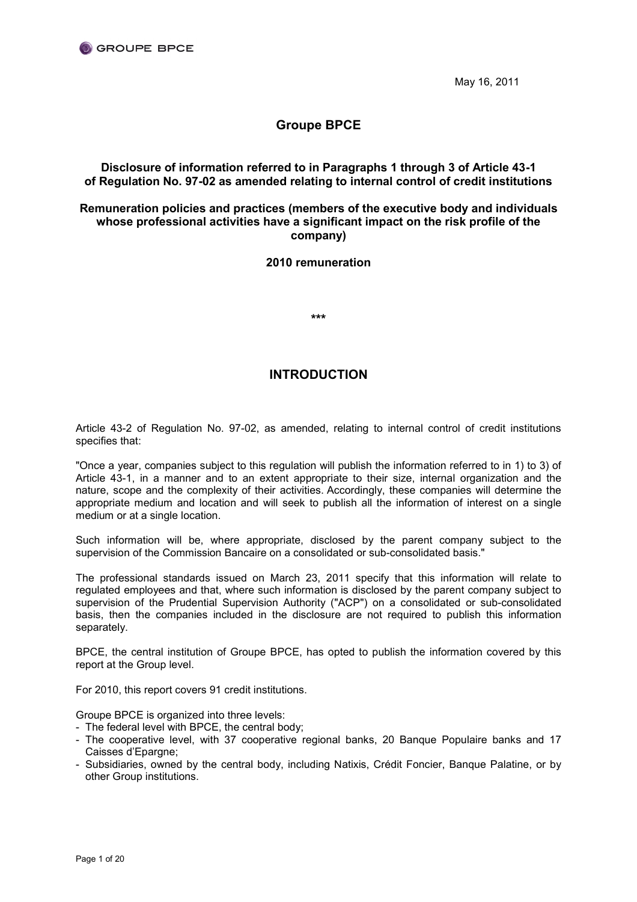

May 16, 2011

# **Groupe BPCE**

# **Disclosure of information referred to in Paragraphs 1 through 3 of Article 43-1 of Regulation No. 97-02 as amended relating to internal control of credit institutions**

# **Remuneration policies and practices (members of the executive body and individuals whose professional activities have a significant impact on the risk profile of the company)**

# **2010 remuneration**

**\*\*\***

# **INTRODUCTION**

Article 43-2 of Regulation No. 97-02, as amended, relating to internal control of credit institutions specifies that:

"Once a year, companies subject to this regulation will publish the information referred to in 1) to 3) of Article 43-1, in a manner and to an extent appropriate to their size, internal organization and the nature, scope and the complexity of their activities. Accordingly, these companies will determine the appropriate medium and location and will seek to publish all the information of interest on a single medium or at a single location.

Such information will be, where appropriate, disclosed by the parent company subject to the supervision of the Commission Bancaire on a consolidated or sub-consolidated basis."

The professional standards issued on March 23, 2011 specify that this information will relate to regulated employees and that, where such information is disclosed by the parent company subject to supervision of the Prudential Supervision Authority ("ACP") on a consolidated or sub-consolidated basis, then the companies included in the disclosure are not required to publish this information separately.

BPCE, the central institution of Groupe BPCE, has opted to publish the information covered by this report at the Group level.

For 2010, this report covers 91 credit institutions.

Groupe BPCE is organized into three levels:

- The federal level with BPCE, the central body;
- The cooperative level, with 37 cooperative regional banks, 20 Banque Populaire banks and 17 Caisses d'Epargne;
- Subsidiaries, owned by the central body, including Natixis, Crédit Foncier, Banque Palatine, or by other Group institutions.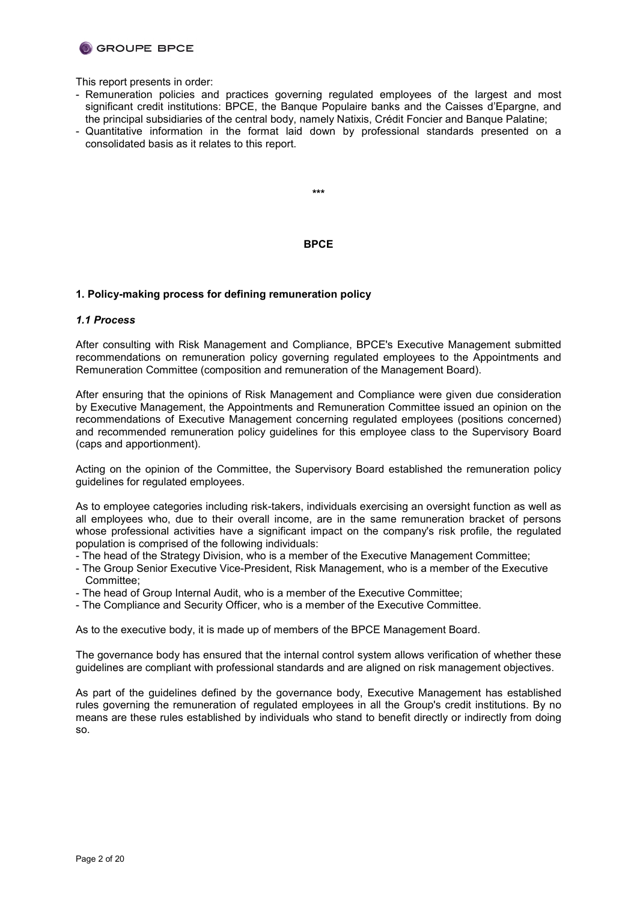

This report presents in order:

- Remuneration policies and practices governing regulated employees of the largest and most significant credit institutions: BPCE, the Banque Populaire banks and the Caisses d'Epargne, and the principal subsidiaries of the central body, namely Natixis, Crédit Foncier and Banque Palatine;
- Quantitative information in the format laid down by professional standards presented on a consolidated basis as it relates to this report.

**\*\*\***

### **BPCE**

### **1. Policy-making process for defining remuneration policy**

#### *1.1 Process*

After consulting with Risk Management and Compliance, BPCE's Executive Management submitted recommendations on remuneration policy governing regulated employees to the Appointments and Remuneration Committee (composition and remuneration of the Management Board).

After ensuring that the opinions of Risk Management and Compliance were given due consideration by Executive Management, the Appointments and Remuneration Committee issued an opinion on the recommendations of Executive Management concerning regulated employees (positions concerned) and recommended remuneration policy guidelines for this employee class to the Supervisory Board (caps and apportionment).

Acting on the opinion of the Committee, the Supervisory Board established the remuneration policy guidelines for regulated employees.

As to employee categories including risk-takers, individuals exercising an oversight function as well as all employees who, due to their overall income, are in the same remuneration bracket of persons whose professional activities have a significant impact on the company's risk profile, the regulated population is comprised of the following individuals:

- The head of the Strategy Division, who is a member of the Executive Management Committee;
- The Group Senior Executive Vice-President, Risk Management, who is a member of the Executive Committee;
- The head of Group Internal Audit, who is a member of the Executive Committee;
- The Compliance and Security Officer, who is a member of the Executive Committee.

As to the executive body, it is made up of members of the BPCE Management Board.

The governance body has ensured that the internal control system allows verification of whether these guidelines are compliant with professional standards and are aligned on risk management objectives.

As part of the guidelines defined by the governance body, Executive Management has established rules governing the remuneration of regulated employees in all the Group's credit institutions. By no means are these rules established by individuals who stand to benefit directly or indirectly from doing so.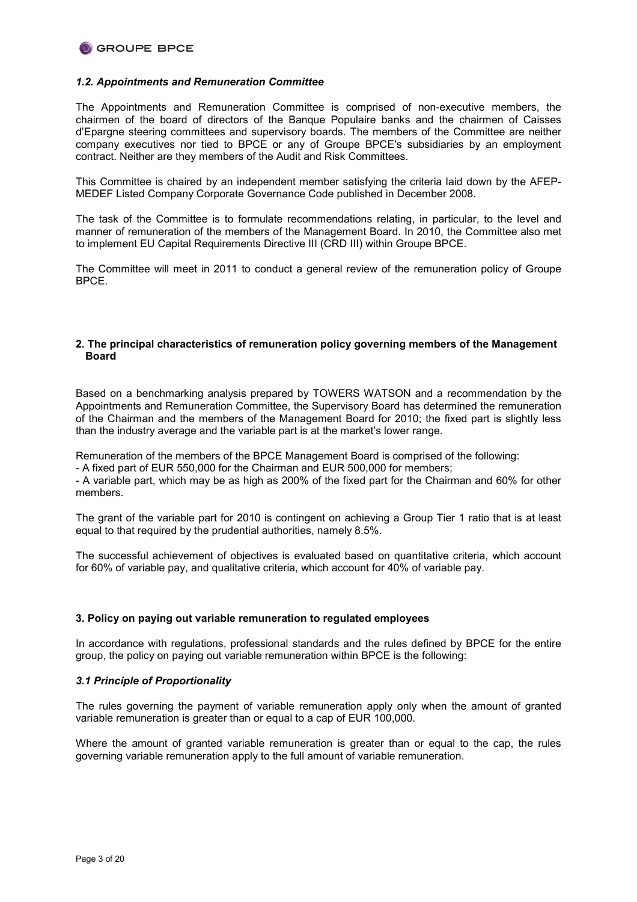

### *1.2. Appointments and Remuneration Committee*

The Appointments and Remuneration Committee is comprised of non-executive members, the chairmen of the board of directors of the Banque Populaire banks and the chairmen of Caisses d'Epargne steering committees and supervisory boards. The members of the Committee are neither company executives nor tied to BPCE or any of Groupe BPCE's subsidiaries by an employment contract. Neither are they members of the Audit and Risk Committees.

This Committee is chaired by an independent member satisfying the criteria laid down by the AFEP-MEDEF Listed Company Corporate Governance Code published in December 2008.

The task of the Committee is to formulate recommendations relating, in particular, to the level and manner of remuneration of the members of the Management Board. In 2010, the Committee also met to implement EU Capital Requirements Directive III (CRD III) within Groupe BPCE.

The Committee will meet in 2011 to conduct a general review of the remuneration policy of Groupe **BPCF** 

### **2. The principal characteristics of remuneration policy governing members of the Management Board**

Based on a benchmarking analysis prepared by TOWERS WATSON and a recommendation by the Appointments and Remuneration Committee, the Supervisory Board has determined the remuneration of the Chairman and the members of the Management Board for 2010; the fixed part is slightly less than the industry average and the variable part is at the market's lower range.

Remuneration of the members of the BPCE Management Board is comprised of the following:

- A fixed part of EUR 550,000 for the Chairman and EUR 500,000 for members;

- A variable part, which may be as high as 200% of the fixed part for the Chairman and 60% for other members.

The grant of the variable part for 2010 is contingent on achieving a Group Tier 1 ratio that is at least equal to that required by the prudential authorities, namely 8.5%.

The successful achievement of objectives is evaluated based on quantitative criteria, which account for 60% of variable pay, and qualitative criteria, which account for 40% of variable pay.

### **3. Policy on paying out variable remuneration to regulated employees**

In accordance with regulations, professional standards and the rules defined by BPCE for the entire group, the policy on paying out variable remuneration within BPCE is the following:

### *3.1 Principle of Proportionality*

The rules governing the payment of variable remuneration apply only when the amount of granted variable remuneration is greater than or equal to a cap of EUR 100,000.

Where the amount of granted variable remuneration is greater than or equal to the cap, the rules governing variable remuneration apply to the full amount of variable remuneration.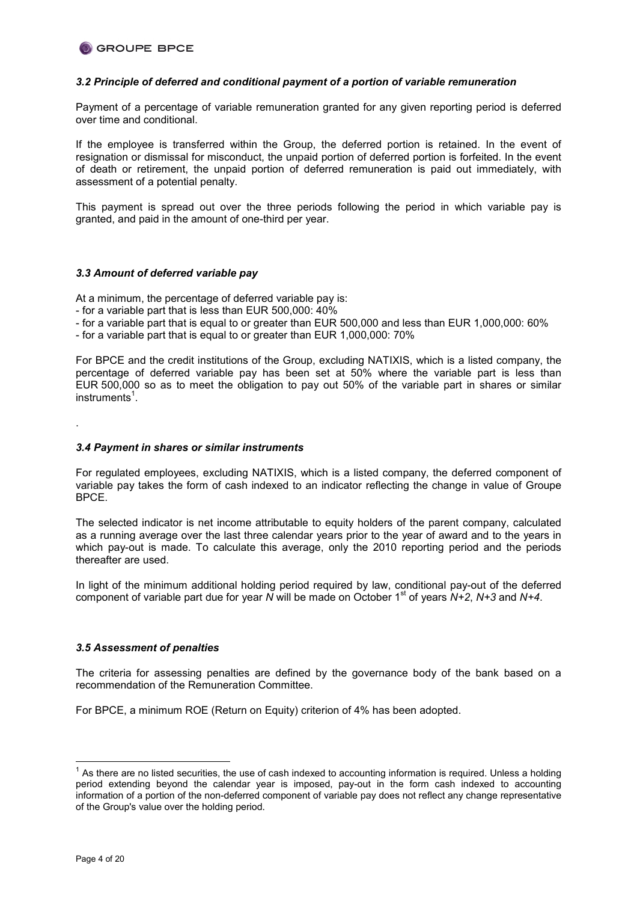### *3.2 Principle of deferred and conditional payment of a portion of variable remuneration*

Payment of a percentage of variable remuneration granted for any given reporting period is deferred over time and conditional.

If the employee is transferred within the Group, the deferred portion is retained. In the event of resignation or dismissal for misconduct, the unpaid portion of deferred portion is forfeited. In the event of death or retirement, the unpaid portion of deferred remuneration is paid out immediately, with assessment of a potential penalty.

This payment is spread out over the three periods following the period in which variable pay is granted, and paid in the amount of one-third per year.

### *3.3 Amount of deferred variable pay*

At a minimum, the percentage of deferred variable pay is:

- for a variable part that is less than EUR 500,000: 40%
- for a variable part that is equal to or greater than EUR 500,000 and less than EUR 1,000,000: 60%
- for a variable part that is equal to or greater than EUR 1,000,000: 70%

For BPCE and the credit institutions of the Group, excluding NATIXIS, which is a listed company, the percentage of deferred variable pay has been set at 50% where the variable part is less than EUR 500,000 so as to meet the obligation to pay out 50% of the variable part in shares or similar instruments<sup>1</sup>.

*3.4 Payment in shares or similar instruments*

For regulated employees, excluding NATIXIS, which is a listed company, the deferred component of variable pay takes the form of cash indexed to an indicator reflecting the change in value of Groupe BPCE.

The selected indicator is net income attributable to equity holders of the parent company, calculated as a running average over the last three calendar years prior to the year of award and to the years in which pay-out is made. To calculate this average, only the 2010 reporting period and the periods thereafter are used.

In light of the minimum additional holding period required by law, conditional pay-out of the deferred component of variable part due for year *N* will be made on October 1st of years *N+2*, *N+3* and *N+4*.

### *3.5 Assessment of penalties*

The criteria for assessing penalties are defined by the governance body of the bank based on a recommendation of the Remuneration Committee.

For BPCE, a minimum ROE (Return on Equity) criterion of 4% has been adopted.

.

 $1$  As there are no listed securities, the use of cash indexed to accounting information is required. Unless a holding period extending beyond the calendar year is imposed, pay-out in the form cash indexed to accounting information of a portion of the non-deferred component of variable pay does not reflect any change representative of the Group's value over the holding period.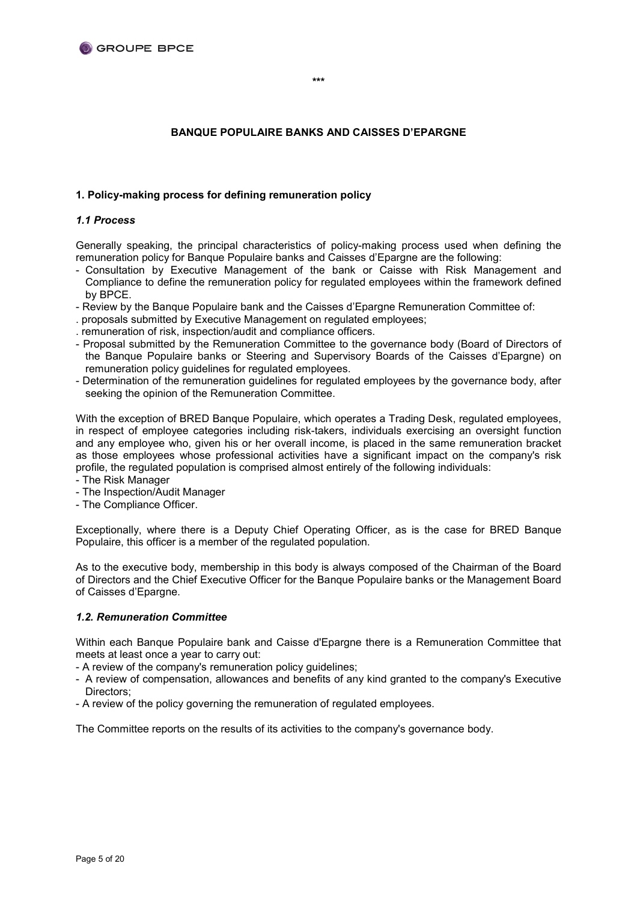## **BANQUE POPULAIRE BANKS AND CAISSES D'EPARGNE**

### **1. Policy-making process for defining remuneration policy**

### *1.1 Process*

Generally speaking, the principal characteristics of policy-making process used when defining the remuneration policy for Banque Populaire banks and Caisses d'Epargne are the following:

- Consultation by Executive Management of the bank or Caisse with Risk Management and Compliance to define the remuneration policy for regulated employees within the framework defined by BPCE.
- Review by the Banque Populaire bank and the Caisses d'Epargne Remuneration Committee of:
- . proposals submitted by Executive Management on regulated employees;
- . remuneration of risk, inspection/audit and compliance officers.
- Proposal submitted by the Remuneration Committee to the governance body (Board of Directors of the Banque Populaire banks or Steering and Supervisory Boards of the Caisses d'Epargne) on remuneration policy guidelines for regulated employees.
- Determination of the remuneration guidelines for regulated employees by the governance body, after seeking the opinion of the Remuneration Committee.

With the exception of BRED Banque Populaire, which operates a Trading Desk, regulated employees, in respect of employee categories including risk-takers, individuals exercising an oversight function and any employee who, given his or her overall income, is placed in the same remuneration bracket as those employees whose professional activities have a significant impact on the company's risk profile, the regulated population is comprised almost entirely of the following individuals:

- The Risk Manager
- The Inspection/Audit Manager
- The Compliance Officer.

Exceptionally, where there is a Deputy Chief Operating Officer, as is the case for BRED Banque Populaire, this officer is a member of the regulated population.

As to the executive body, membership in this body is always composed of the Chairman of the Board of Directors and the Chief Executive Officer for the Banque Populaire banks or the Management Board of Caisses d'Epargne.

### *1.2. Remuneration Committee*

Within each Banque Populaire bank and Caisse d'Epargne there is a Remuneration Committee that meets at least once a year to carry out:

- A review of the company's remuneration policy guidelines;

- A review of compensation, allowances and benefits of any kind granted to the company's Executive Directors;
- A review of the policy governing the remuneration of regulated employees.

The Committee reports on the results of its activities to the company's governance body.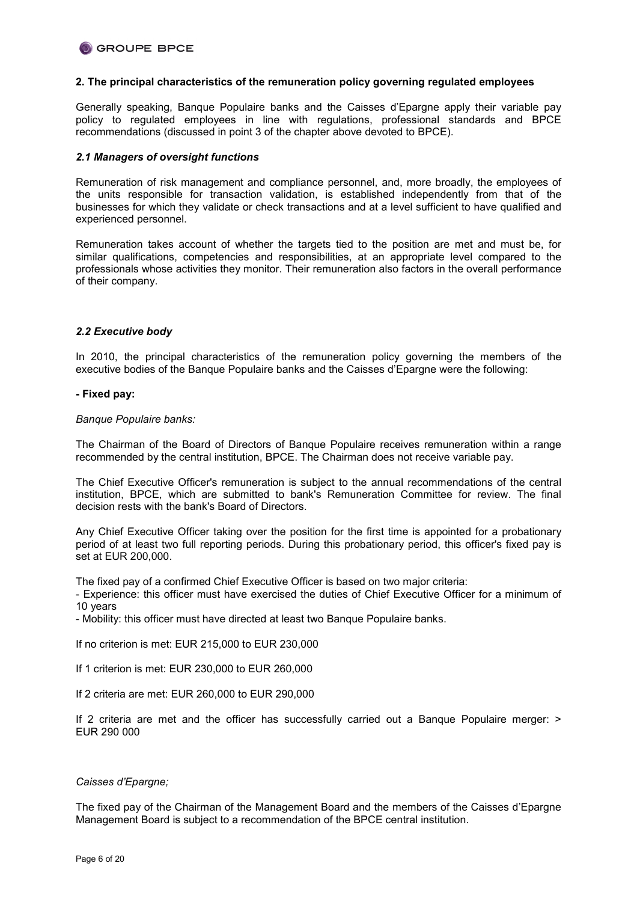

### **2. The principal characteristics of the remuneration policy governing regulated employees**

Generally speaking, Banque Populaire banks and the Caisses d'Epargne apply their variable pay policy to regulated employees in line with regulations, professional standards and BPCE recommendations (discussed in point 3 of the chapter above devoted to BPCE).

### *2.1 Managers of oversight functions*

Remuneration of risk management and compliance personnel, and, more broadly, the employees of the units responsible for transaction validation, is established independently from that of the businesses for which they validate or check transactions and at a level sufficient to have qualified and experienced personnel.

Remuneration takes account of whether the targets tied to the position are met and must be, for similar qualifications, competencies and responsibilities, at an appropriate level compared to the professionals whose activities they monitor. Their remuneration also factors in the overall performance of their company.

### *2.2 Executive body*

In 2010, the principal characteristics of the remuneration policy governing the members of the executive bodies of the Banque Populaire banks and the Caisses d'Epargne were the following:

#### **- Fixed pay:**

#### *Banque Populaire banks:*

The Chairman of the Board of Directors of Banque Populaire receives remuneration within a range recommended by the central institution, BPCE. The Chairman does not receive variable pay.

The Chief Executive Officer's remuneration is subject to the annual recommendations of the central institution, BPCE, which are submitted to bank's Remuneration Committee for review. The final decision rests with the bank's Board of Directors.

Any Chief Executive Officer taking over the position for the first time is appointed for a probationary period of at least two full reporting periods. During this probationary period, this officer's fixed pay is set at EUR 200,000.

The fixed pay of a confirmed Chief Executive Officer is based on two major criteria:

- Experience: this officer must have exercised the duties of Chief Executive Officer for a minimum of 10 years

- Mobility: this officer must have directed at least two Banque Populaire banks.

If no criterion is met: EUR 215,000 to EUR 230,000

If 1 criterion is met: EUR 230,000 to EUR 260,000

If 2 criteria are met: EUR 260,000 to EUR 290,000

If 2 criteria are met and the officer has successfully carried out a Banque Populaire merger: > EUR 290 000

### *Caisses d'Epargne;*

The fixed pay of the Chairman of the Management Board and the members of the Caisses d'Epargne Management Board is subject to a recommendation of the BPCE central institution.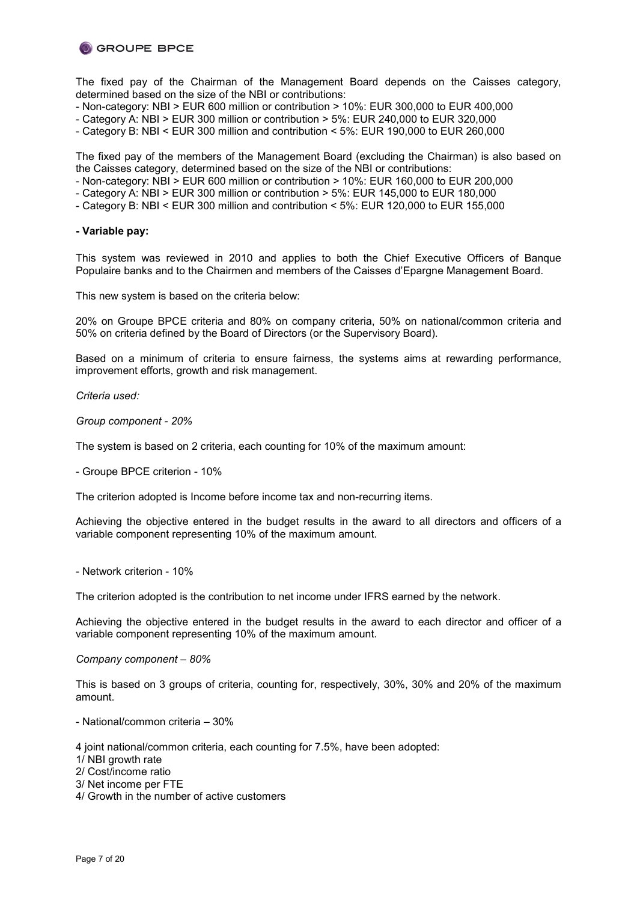

The fixed pay of the Chairman of the Management Board depends on the Caisses category, determined based on the size of the NBI or contributions:

- Non-category: NBI > EUR 600 million or contribution > 10%: EUR 300,000 to EUR 400,000
- Category A: NBI > EUR 300 million or contribution > 5%: EUR 240,000 to EUR 320,000
- Category B: NBI < EUR 300 million and contribution < 5%: EUR 190,000 to EUR 260,000

The fixed pay of the members of the Management Board (excluding the Chairman) is also based on the Caisses category, determined based on the size of the NBI or contributions:

- Non-category: NBI > EUR 600 million or contribution > 10%: EUR 160,000 to EUR 200,000
- Category A: NBI > EUR 300 million or contribution > 5%: EUR 145,000 to EUR 180,000
- Category B: NBI < EUR 300 million and contribution < 5%: EUR 120,000 to EUR 155,000

### **- Variable pay:**

This system was reviewed in 2010 and applies to both the Chief Executive Officers of Banque Populaire banks and to the Chairmen and members of the Caisses d'Epargne Management Board.

This new system is based on the criteria below:

20% on Groupe BPCE criteria and 80% on company criteria, 50% on national/common criteria and 50% on criteria defined by the Board of Directors (or the Supervisory Board).

Based on a minimum of criteria to ensure fairness, the systems aims at rewarding performance, improvement efforts, growth and risk management.

*Criteria used:*

*Group component - 20%*

The system is based on 2 criteria, each counting for 10% of the maximum amount:

- Groupe BPCE criterion - 10%

The criterion adopted is Income before income tax and non-recurring items.

Achieving the objective entered in the budget results in the award to all directors and officers of a variable component representing 10% of the maximum amount.

- Network criterion - 10%

The criterion adopted is the contribution to net income under IFRS earned by the network.

Achieving the objective entered in the budget results in the award to each director and officer of a variable component representing 10% of the maximum amount.

#### *Company component – 80%*

This is based on 3 groups of criteria, counting for, respectively, 30%, 30% and 20% of the maximum amount.

- National/common criteria – 30%

4 joint national/common criteria, each counting for 7.5%, have been adopted:

1/ NBI growth rate

2/ Cost/income ratio

3/ Net income per FTE

4/ Growth in the number of active customers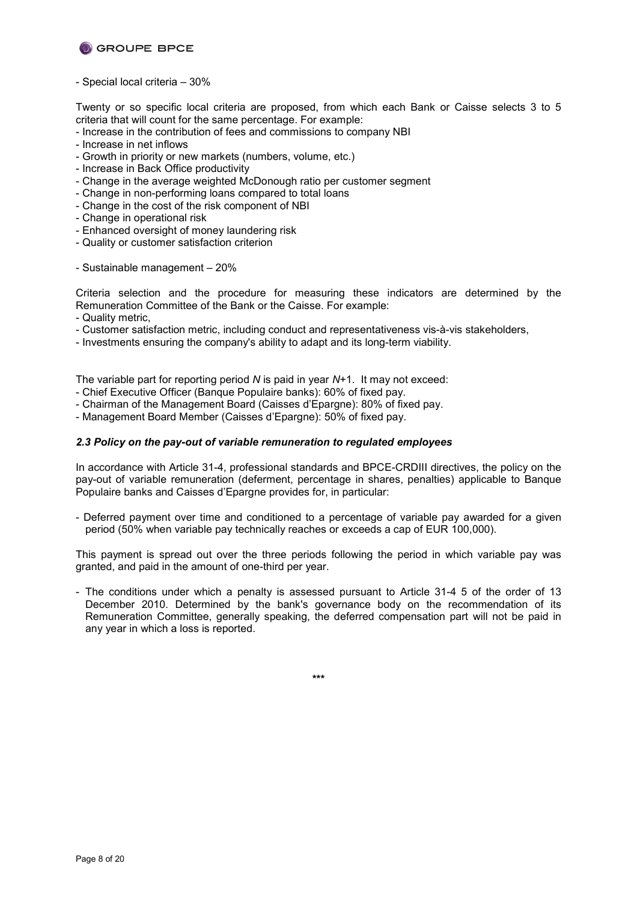

- Special local criteria – 30%

Twenty or so specific local criteria are proposed, from which each Bank or Caisse selects 3 to 5 criteria that will count for the same percentage. For example:

- Increase in the contribution of fees and commissions to company NBI
- Increase in net inflows
- Growth in priority or new markets (numbers, volume, etc.)
- Increase in Back Office productivity
- Change in the average weighted McDonough ratio per customer segment
- Change in non-performing loans compared to total loans
- Change in the cost of the risk component of NBI
- Change in operational risk
- Enhanced oversight of money laundering risk
- Quality or customer satisfaction criterion
- Sustainable management 20%

Criteria selection and the procedure for measuring these indicators are determined by the Remuneration Committee of the Bank or the Caisse. For example:

- Quality metric,
- Customer satisfaction metric, including conduct and representativeness vis-à-vis stakeholders,
- Investments ensuring the company's ability to adapt and its long-term viability.

The variable part for reporting period *N* is paid in year *N*+1. It may not exceed:

- Chief Executive Officer (Banque Populaire banks): 60% of fixed pay.
- Chairman of the Management Board (Caisses d'Epargne): 80% of fixed pay.
- Management Board Member (Caisses d'Epargne): 50% of fixed pay.

## *2.3 Policy on the pay-out of variable remuneration to regulated employees*

In accordance with Article 31-4, professional standards and BPCE-CRDIII directives, the policy on the pay-out of variable remuneration (deferment, percentage in shares, penalties) applicable to Banque Populaire banks and Caisses d'Epargne provides for, in particular:

- Deferred payment over time and conditioned to a percentage of variable pay awarded for a given period (50% when variable pay technically reaches or exceeds a cap of EUR 100,000).

This payment is spread out over the three periods following the period in which variable pay was granted, and paid in the amount of one-third per year.

- The conditions under which a penalty is assessed pursuant to Article 31-4 5 of the order of 13 December 2010. Determined by the bank's governance body on the recommendation of its Remuneration Committee, generally speaking, the deferred compensation part will not be paid in any year in which a loss is reported.

**\*\*\***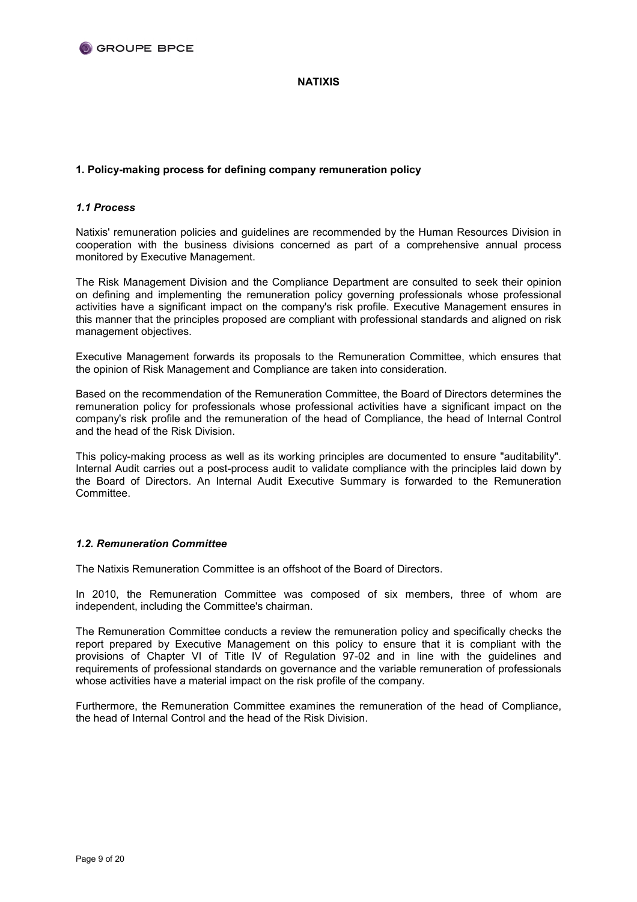

## **NATIXIS**

# **1. Policy-making process for defining company remuneration policy**

## *1.1 Process*

Natixis' remuneration policies and guidelines are recommended by the Human Resources Division in cooperation with the business divisions concerned as part of a comprehensive annual process monitored by Executive Management.

The Risk Management Division and the Compliance Department are consulted to seek their opinion on defining and implementing the remuneration policy governing professionals whose professional activities have a significant impact on the company's risk profile. Executive Management ensures in this manner that the principles proposed are compliant with professional standards and aligned on risk management objectives.

Executive Management forwards its proposals to the Remuneration Committee, which ensures that the opinion of Risk Management and Compliance are taken into consideration.

Based on the recommendation of the Remuneration Committee, the Board of Directors determines the remuneration policy for professionals whose professional activities have a significant impact on the company's risk profile and the remuneration of the head of Compliance, the head of Internal Control and the head of the Risk Division.

This policy-making process as well as its working principles are documented to ensure "auditability". Internal Audit carries out a post-process audit to validate compliance with the principles laid down by the Board of Directors. An Internal Audit Executive Summary is forwarded to the Remuneration Committee.

# *1.2. Remuneration Committee*

The Natixis Remuneration Committee is an offshoot of the Board of Directors.

In 2010, the Remuneration Committee was composed of six members, three of whom are independent, including the Committee's chairman.

The Remuneration Committee conducts a review the remuneration policy and specifically checks the report prepared by Executive Management on this policy to ensure that it is compliant with the provisions of Chapter VI of Title IV of Regulation 97-02 and in line with the guidelines and requirements of professional standards on governance and the variable remuneration of professionals whose activities have a material impact on the risk profile of the company.

Furthermore, the Remuneration Committee examines the remuneration of the head of Compliance, the head of Internal Control and the head of the Risk Division.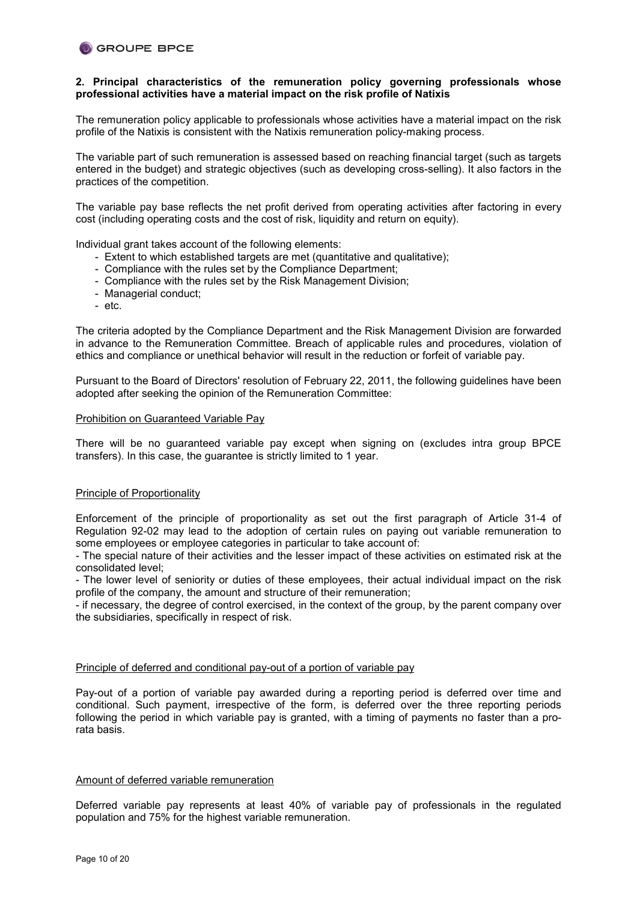### **2. Principal characteristics of the remuneration policy governing professionals whose professional activities have a material impact on the risk profile of Natixis**

The remuneration policy applicable to professionals whose activities have a material impact on the risk profile of the Natixis is consistent with the Natixis remuneration policy-making process.

The variable part of such remuneration is assessed based on reaching financial target (such as targets entered in the budget) and strategic objectives (such as developing cross-selling). It also factors in the practices of the competition.

The variable pay base reflects the net profit derived from operating activities after factoring in every cost (including operating costs and the cost of risk, liquidity and return on equity).

Individual grant takes account of the following elements:

- Extent to which established targets are met (quantitative and qualitative);
- Compliance with the rules set by the Compliance Department;
- Compliance with the rules set by the Risk Management Division;
- Managerial conduct;
- etc.

The criteria adopted by the Compliance Department and the Risk Management Division are forwarded in advance to the Remuneration Committee. Breach of applicable rules and procedures, violation of ethics and compliance or unethical behavior will result in the reduction or forfeit of variable pay.

Pursuant to the Board of Directors' resolution of February 22, 2011, the following guidelines have been adopted after seeking the opinion of the Remuneration Committee:

#### Prohibition on Guaranteed Variable Pay

There will be no guaranteed variable pay except when signing on (excludes intra group BPCE transfers). In this case, the guarantee is strictly limited to 1 year.

### Principle of Proportionality

Enforcement of the principle of proportionality as set out the first paragraph of Article 31-4 of Regulation 92-02 may lead to the adoption of certain rules on paying out variable remuneration to some employees or employee categories in particular to take account of:

- The special nature of their activities and the lesser impact of these activities on estimated risk at the consolidated level;

- The lower level of seniority or duties of these employees, their actual individual impact on the risk profile of the company, the amount and structure of their remuneration;

- if necessary, the degree of control exercised, in the context of the group, by the parent company over the subsidiaries, specifically in respect of risk.

### Principle of deferred and conditional pay-out of a portion of variable pay

Pay-out of a portion of variable pay awarded during a reporting period is deferred over time and conditional. Such payment, irrespective of the form, is deferred over the three reporting periods following the period in which variable pay is granted, with a timing of payments no faster than a prorata basis.

# Amount of deferred variable remuneration

Deferred variable pay represents at least 40% of variable pay of professionals in the regulated population and 75% for the highest variable remuneration.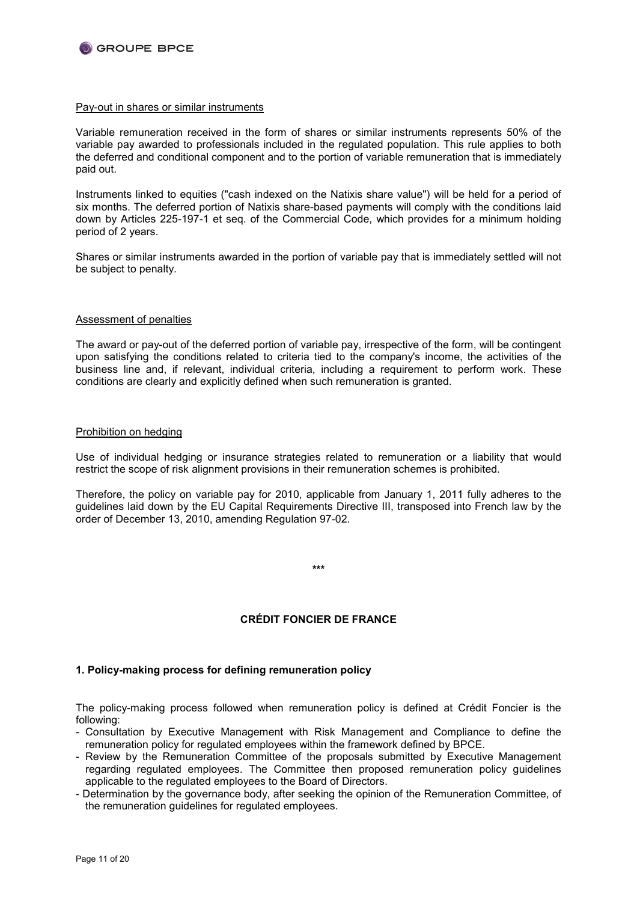

#### Pay-out in shares or similar instruments

Variable remuneration received in the form of shares or similar instruments represents 50% of the variable pay awarded to professionals included in the regulated population. This rule applies to both the deferred and conditional component and to the portion of variable remuneration that is immediately paid out.

Instruments linked to equities ("cash indexed on the Natixis share value") will be held for a period of six months. The deferred portion of Natixis share-based payments will comply with the conditions laid down by Articles 225-197-1 et seq. of the Commercial Code, which provides for a minimum holding period of 2 years.

Shares or similar instruments awarded in the portion of variable pay that is immediately settled will not be subject to penalty.

### Assessment of penalties

The award or pay-out of the deferred portion of variable pay, irrespective of the form, will be contingent upon satisfying the conditions related to criteria tied to the company's income, the activities of the business line and, if relevant, individual criteria, including a requirement to perform work. These conditions are clearly and explicitly defined when such remuneration is granted.

#### Prohibition on hedging

Use of individual hedging or insurance strategies related to remuneration or a liability that would restrict the scope of risk alignment provisions in their remuneration schemes is prohibited.

Therefore, the policy on variable pay for 2010, applicable from January 1, 2011 fully adheres to the guidelines laid down by the EU Capital Requirements Directive III, transposed into French law by the order of December 13, 2010, amending Regulation 97-02.

**\*\*\***

# **CRÉDIT FONCIER DE FRANCE**

# **1. Policy-making process for defining remuneration policy**

The policy-making process followed when remuneration policy is defined at Crédit Foncier is the following:

- Consultation by Executive Management with Risk Management and Compliance to define the remuneration policy for regulated employees within the framework defined by BPCE.
- Review by the Remuneration Committee of the proposals submitted by Executive Management regarding regulated employees. The Committee then proposed remuneration policy guidelines applicable to the regulated employees to the Board of Directors.
- Determination by the governance body, after seeking the opinion of the Remuneration Committee, of the remuneration guidelines for regulated employees.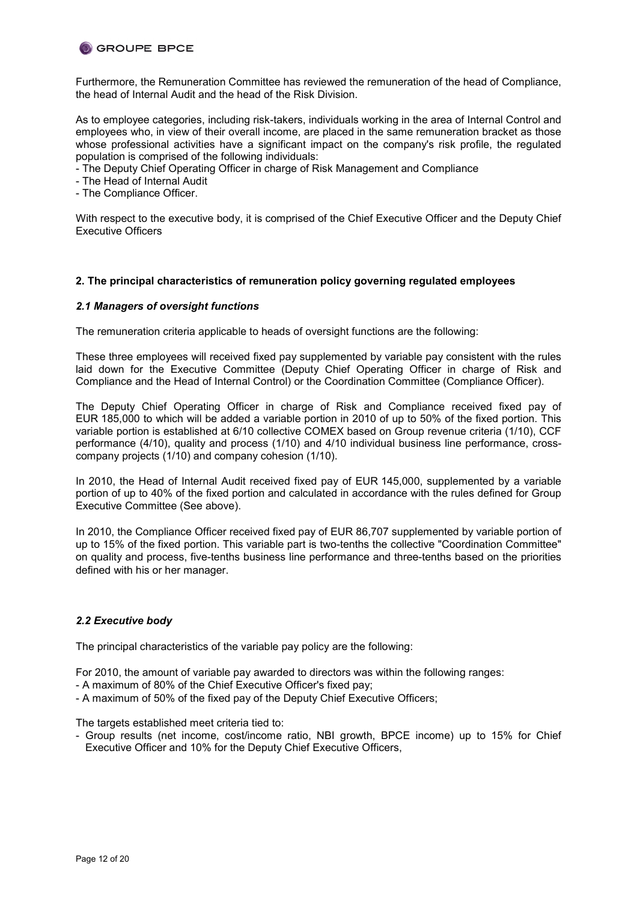

Furthermore, the Remuneration Committee has reviewed the remuneration of the head of Compliance, the head of Internal Audit and the head of the Risk Division.

As to employee categories, including risk-takers, individuals working in the area of Internal Control and employees who, in view of their overall income, are placed in the same remuneration bracket as those whose professional activities have a significant impact on the company's risk profile, the regulated population is comprised of the following individuals:

- The Deputy Chief Operating Officer in charge of Risk Management and Compliance
- The Head of Internal Audit
- The Compliance Officer.

With respect to the executive body, it is comprised of the Chief Executive Officer and the Deputy Chief Executive Officers

## **2. The principal characteristics of remuneration policy governing regulated employees**

## *2.1 Managers of oversight functions*

The remuneration criteria applicable to heads of oversight functions are the following:

These three employees will received fixed pay supplemented by variable pay consistent with the rules laid down for the Executive Committee (Deputy Chief Operating Officer in charge of Risk and Compliance and the Head of Internal Control) or the Coordination Committee (Compliance Officer).

The Deputy Chief Operating Officer in charge of Risk and Compliance received fixed pay of EUR 185,000 to which will be added a variable portion in 2010 of up to 50% of the fixed portion. This variable portion is established at 6/10 collective COMEX based on Group revenue criteria (1/10), CCF performance (4/10), quality and process (1/10) and 4/10 individual business line performance, crosscompany projects (1/10) and company cohesion (1/10).

In 2010, the Head of Internal Audit received fixed pay of EUR 145,000, supplemented by a variable portion of up to 40% of the fixed portion and calculated in accordance with the rules defined for Group Executive Committee (See above).

In 2010, the Compliance Officer received fixed pay of EUR 86,707 supplemented by variable portion of up to 15% of the fixed portion. This variable part is two-tenths the collective "Coordination Committee" on quality and process, five-tenths business line performance and three-tenths based on the priorities defined with his or her manager.

# *2.2 Executive body*

The principal characteristics of the variable pay policy are the following:

For 2010, the amount of variable pay awarded to directors was within the following ranges:

- A maximum of 80% of the Chief Executive Officer's fixed pay;
- A maximum of 50% of the fixed pay of the Deputy Chief Executive Officers;

The targets established meet criteria tied to:

- Group results (net income, cost/income ratio, NBI growth, BPCE income) up to 15% for Chief Executive Officer and 10% for the Deputy Chief Executive Officers,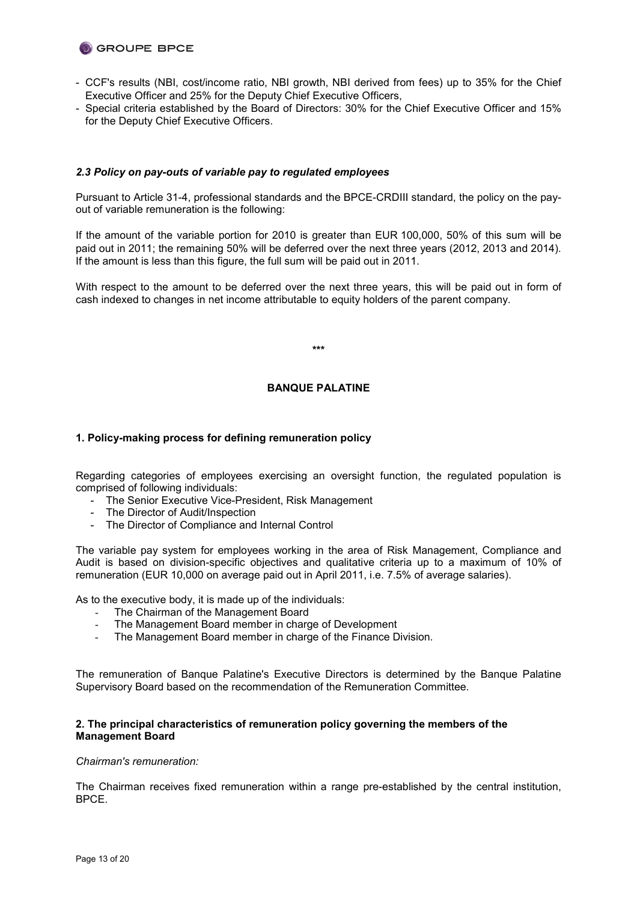

- CCF's results (NBI, cost/income ratio, NBI growth, NBI derived from fees) up to 35% for the Chief Executive Officer and 25% for the Deputy Chief Executive Officers,
- Special criteria established by the Board of Directors: 30% for the Chief Executive Officer and 15% for the Deputy Chief Executive Officers.

## *2.3 Policy on pay-outs of variable pay to regulated employees*

Pursuant to Article 31-4, professional standards and the BPCE-CRDIII standard, the policy on the payout of variable remuneration is the following:

If the amount of the variable portion for 2010 is greater than EUR 100,000, 50% of this sum will be paid out in 2011; the remaining 50% will be deferred over the next three years (2012, 2013 and 2014). If the amount is less than this figure, the full sum will be paid out in 2011.

With respect to the amount to be deferred over the next three years, this will be paid out in form of cash indexed to changes in net income attributable to equity holders of the parent company.

**\*\*\***

## **BANQUE PALATINE**

## **1. Policy-making process for defining remuneration policy**

Regarding categories of employees exercising an oversight function, the regulated population is comprised of following individuals:

- The Senior Executive Vice-President, Risk Management
- The Director of Audit/Inspection
- The Director of Compliance and Internal Control

The variable pay system for employees working in the area of Risk Management, Compliance and Audit is based on division-specific objectives and qualitative criteria up to a maximum of 10% of remuneration (EUR 10,000 on average paid out in April 2011, i.e. 7.5% of average salaries).

As to the executive body, it is made up of the individuals:

- The Chairman of the Management Board
- The Management Board member in charge of Development
- The Management Board member in charge of the Finance Division.

The remuneration of Banque Palatine's Executive Directors is determined by the Banque Palatine Supervisory Board based on the recommendation of the Remuneration Committee.

## **2. The principal characteristics of remuneration policy governing the members of the Management Board**

#### *Chairman's remuneration:*

The Chairman receives fixed remuneration within a range pre-established by the central institution, BPCE.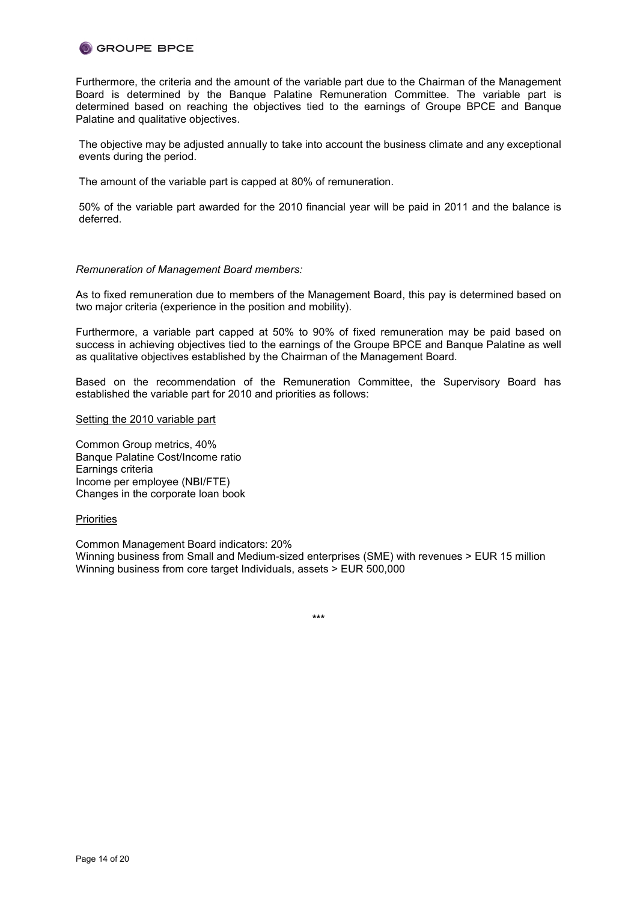

Furthermore, the criteria and the amount of the variable part due to the Chairman of the Management Board is determined by the Banque Palatine Remuneration Committee. The variable part is determined based on reaching the objectives tied to the earnings of Groupe BPCE and Banque Palatine and qualitative objectives.

The objective may be adjusted annually to take into account the business climate and any exceptional events during the period.

The amount of the variable part is capped at 80% of remuneration.

50% of the variable part awarded for the 2010 financial year will be paid in 2011 and the balance is deferred.

### *Remuneration of Management Board members:*

As to fixed remuneration due to members of the Management Board, this pay is determined based on two major criteria (experience in the position and mobility).

Furthermore, a variable part capped at 50% to 90% of fixed remuneration may be paid based on success in achieving objectives tied to the earnings of the Groupe BPCE and Banque Palatine as well as qualitative objectives established by the Chairman of the Management Board.

Based on the recommendation of the Remuneration Committee, the Supervisory Board has established the variable part for 2010 and priorities as follows:

#### Setting the 2010 variable part

Common Group metrics, 40% Banque Palatine Cost/Income ratio Earnings criteria Income per employee (NBI/FTE) Changes in the corporate loan book

### **Priorities**

Common Management Board indicators: 20% Winning business from Small and Medium-sized enterprises (SME) with revenues > EUR 15 million Winning business from core target Individuals, assets > EUR 500,000

**\*\*\***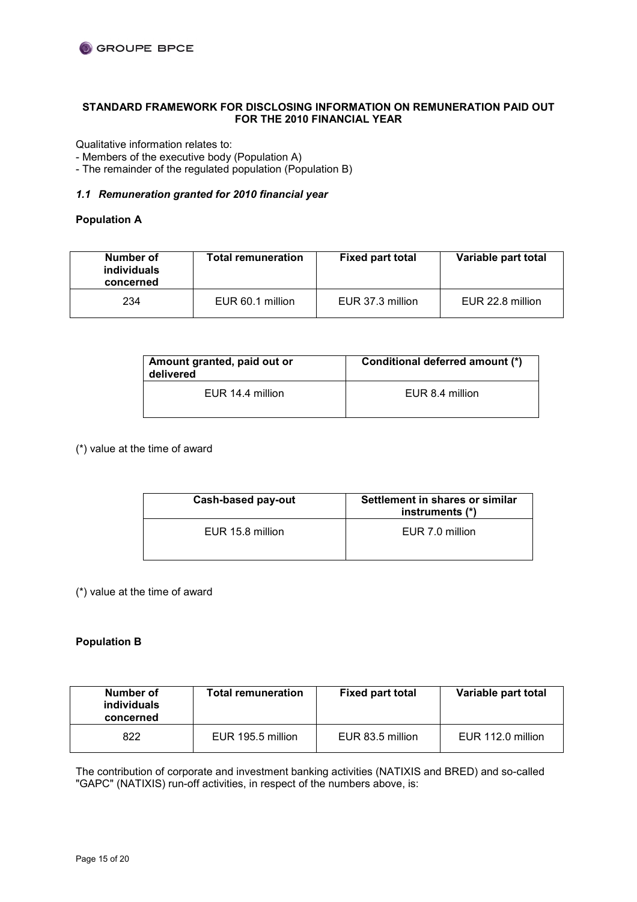# **STANDARD FRAMEWORK FOR DISCLOSING INFORMATION ON REMUNERATION PAID OUT FOR THE 2010 FINANCIAL YEAR**

Qualitative information relates to:

- Members of the executive body (Population A)

- The remainder of the regulated population (Population B)

# *1.1 Remuneration granted for 2010 financial year*

# **Population A**

| Number of<br><i>individuals</i><br>concerned | <b>Total remuneration</b> | <b>Fixed part total</b> | Variable part total |
|----------------------------------------------|---------------------------|-------------------------|---------------------|
| 234                                          | EUR 60.1 million          | EUR 37.3 million        | EUR 22.8 million    |

| Amount granted, paid out or<br>delivered | Conditional deferred amount (*) |  |
|------------------------------------------|---------------------------------|--|
| EUR 14.4 million                         | EUR 8.4 million                 |  |

(\*) value at the time of award

| Cash-based pay-out | Settlement in shares or similar<br>instruments (*) |
|--------------------|----------------------------------------------------|
| EUR 15.8 million   | EUR 7.0 million                                    |

(\*) value at the time of award

# **Population B**

| Number of<br><i>individuals</i><br>concerned | <b>Total remuneration</b> | <b>Fixed part total</b> | Variable part total |
|----------------------------------------------|---------------------------|-------------------------|---------------------|
| 822                                          | EUR 195.5 million         | EUR 83.5 million        | EUR 112.0 million   |

The contribution of corporate and investment banking activities (NATIXIS and BRED) and so-called "GAPC" (NATIXIS) run-off activities, in respect of the numbers above, is: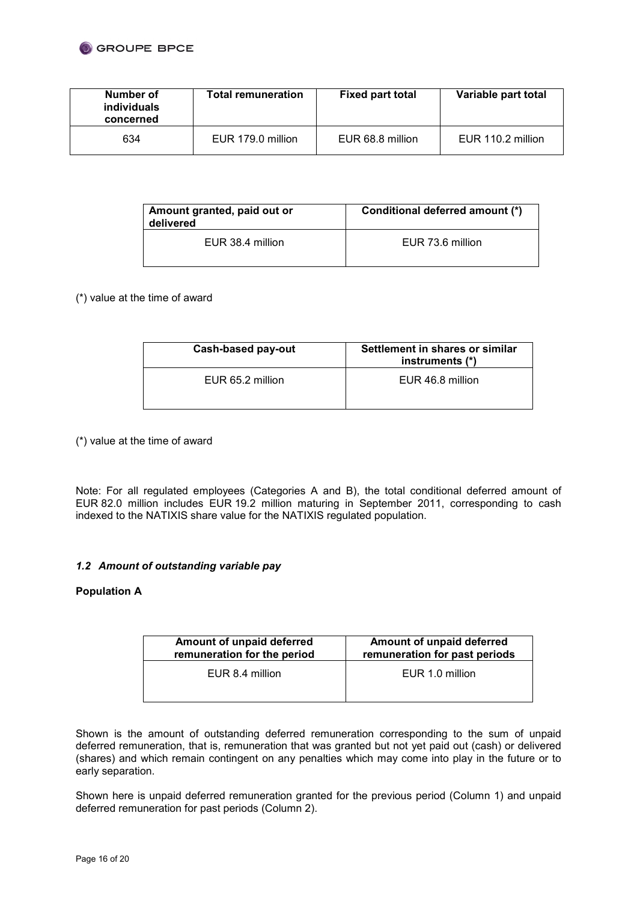

| Number of<br><i>individuals</i><br>concerned | <b>Total remuneration</b> | <b>Fixed part total</b> | Variable part total |
|----------------------------------------------|---------------------------|-------------------------|---------------------|
| 634                                          | EUR 179.0 million         | EUR 68.8 million        | EUR 110.2 million   |

| Amount granted, paid out or<br>delivered | Conditional deferred amount (*) |  |
|------------------------------------------|---------------------------------|--|
| EUR 38.4 million                         | EUR 73.6 million                |  |

# (\*) value at the time of award

| Cash-based pay-out | Settlement in shares or similar<br>instruments (*) |
|--------------------|----------------------------------------------------|
| EUR 65.2 million   | EUR 46.8 million                                   |

(\*) value at the time of award

Note: For all regulated employees (Categories A and B), the total conditional deferred amount of EUR 82.0 million includes EUR 19.2 million maturing in September 2011, corresponding to cash indexed to the NATIXIS share value for the NATIXIS regulated population.

# *1.2 Amount of outstanding variable pay*

# **Population A**

| Amount of unpaid deferred<br>remuneration for past periods |  |
|------------------------------------------------------------|--|
| EUR 1.0 million                                            |  |
|                                                            |  |

Shown is the amount of outstanding deferred remuneration corresponding to the sum of unpaid deferred remuneration, that is, remuneration that was granted but not yet paid out (cash) or delivered (shares) and which remain contingent on any penalties which may come into play in the future or to early separation.

Shown here is unpaid deferred remuneration granted for the previous period (Column 1) and unpaid deferred remuneration for past periods (Column 2).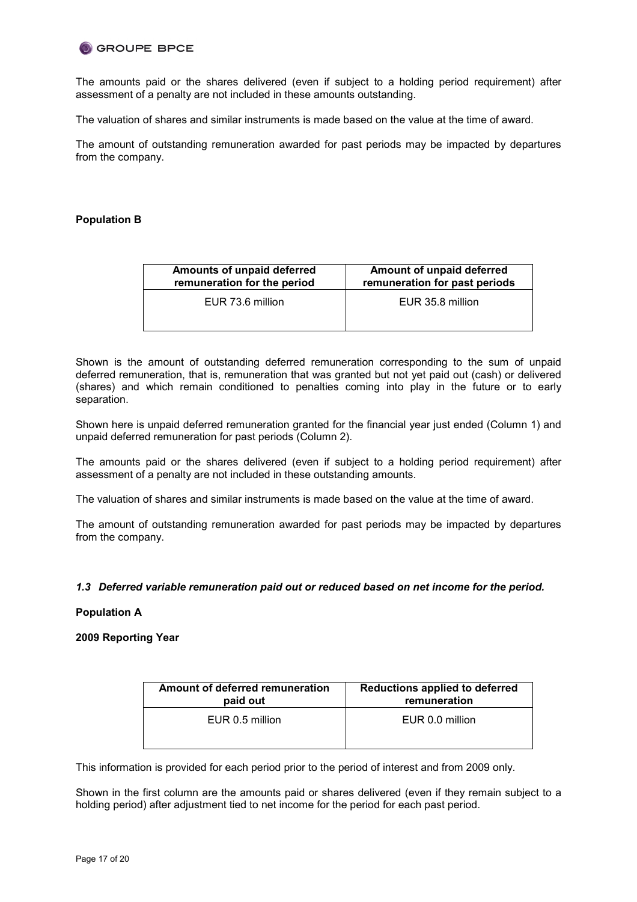The amounts paid or the shares delivered (even if subject to a holding period requirement) after assessment of a penalty are not included in these amounts outstanding.

The valuation of shares and similar instruments is made based on the value at the time of award.

The amount of outstanding remuneration awarded for past periods may be impacted by departures from the company.

## **Population B**

| Amounts of unpaid deferred<br>remuneration for the period | Amount of unpaid deferred<br>remuneration for past periods |  |
|-----------------------------------------------------------|------------------------------------------------------------|--|
| EUR 73.6 million                                          | EUR 35.8 million                                           |  |
|                                                           |                                                            |  |

Shown is the amount of outstanding deferred remuneration corresponding to the sum of unpaid deferred remuneration, that is, remuneration that was granted but not yet paid out (cash) or delivered (shares) and which remain conditioned to penalties coming into play in the future or to early separation.

Shown here is unpaid deferred remuneration granted for the financial year just ended (Column 1) and unpaid deferred remuneration for past periods (Column 2).

The amounts paid or the shares delivered (even if subject to a holding period requirement) after assessment of a penalty are not included in these outstanding amounts.

The valuation of shares and similar instruments is made based on the value at the time of award.

The amount of outstanding remuneration awarded for past periods may be impacted by departures from the company.

### *1.3 Deferred variable remuneration paid out or reduced based on net income for the period.*

### **Population A**

### **2009 Reporting Year**

| Amount of deferred remuneration | Reductions applied to deferred |  |
|---------------------------------|--------------------------------|--|
| paid out                        | remuneration                   |  |
| EUR 0.5 million                 | EUR 0.0 million                |  |

This information is provided for each period prior to the period of interest and from 2009 only.

Shown in the first column are the amounts paid or shares delivered (even if they remain subject to a holding period) after adjustment tied to net income for the period for each past period.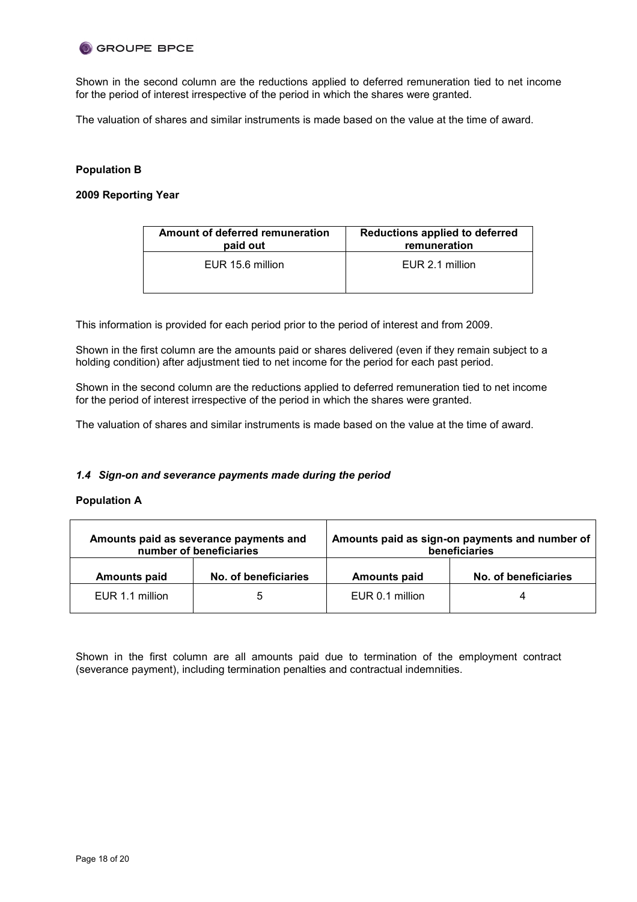Shown in the second column are the reductions applied to deferred remuneration tied to net income for the period of interest irrespective of the period in which the shares were granted.

The valuation of shares and similar instruments is made based on the value at the time of award.

# **Population B**

# **2009 Reporting Year**

| Amount of deferred remuneration | Reductions applied to deferred |
|---------------------------------|--------------------------------|
| paid out                        | remuneration                   |
| EUR 15.6 million                | EUR 2.1 million                |

This information is provided for each period prior to the period of interest and from 2009.

Shown in the first column are the amounts paid or shares delivered (even if they remain subject to a holding condition) after adjustment tied to net income for the period for each past period.

Shown in the second column are the reductions applied to deferred remuneration tied to net income for the period of interest irrespective of the period in which the shares were granted.

The valuation of shares and similar instruments is made based on the value at the time of award.

## *1.4 Sign-on and severance payments made during the period*

### **Population A**

| Amounts paid as severance payments and<br>number of beneficiaries |                      | Amounts paid as sign-on payments and number of<br>beneficiaries |                      |
|-------------------------------------------------------------------|----------------------|-----------------------------------------------------------------|----------------------|
| <b>Amounts paid</b>                                               | No. of beneficiaries | <b>Amounts paid</b>                                             | No. of beneficiaries |
| EUR 1.1 million                                                   | b                    | EUR 0.1 million                                                 |                      |

Shown in the first column are all amounts paid due to termination of the employment contract (severance payment), including termination penalties and contractual indemnities.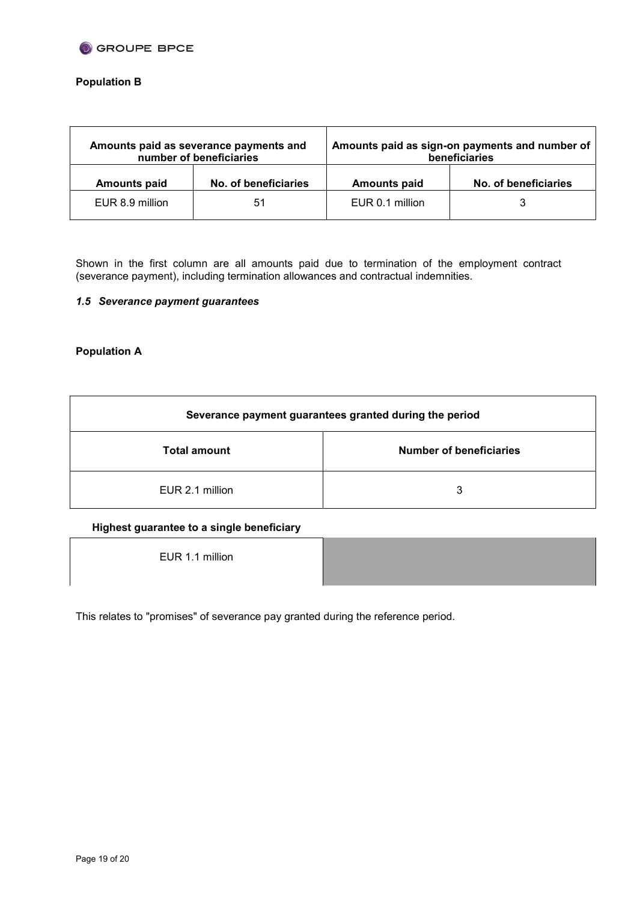

# **Population B**

| Amounts paid as severance payments and<br>number of beneficiaries |                      | Amounts paid as sign-on payments and number of<br>beneficiaries |                      |
|-------------------------------------------------------------------|----------------------|-----------------------------------------------------------------|----------------------|
| <b>Amounts paid</b>                                               | No. of beneficiaries | <b>Amounts paid</b>                                             | No. of beneficiaries |
| EUR 8.9 million                                                   | 51                   | EUR 0.1 million                                                 |                      |

Shown in the first column are all amounts paid due to termination of the employment contract (severance payment), including termination allowances and contractual indemnities.

# *1.5 Severance payment guarantees*

# **Population A**

| Severance payment guarantees granted during the period |                                |  |  |
|--------------------------------------------------------|--------------------------------|--|--|
| <b>Total amount</b>                                    | <b>Number of beneficiaries</b> |  |  |
| EUR 2.1 million                                        | 3                              |  |  |

## **Highest guarantee to a single beneficiary**

EUR 1.1 million



This relates to "promises" of severance pay granted during the reference period.